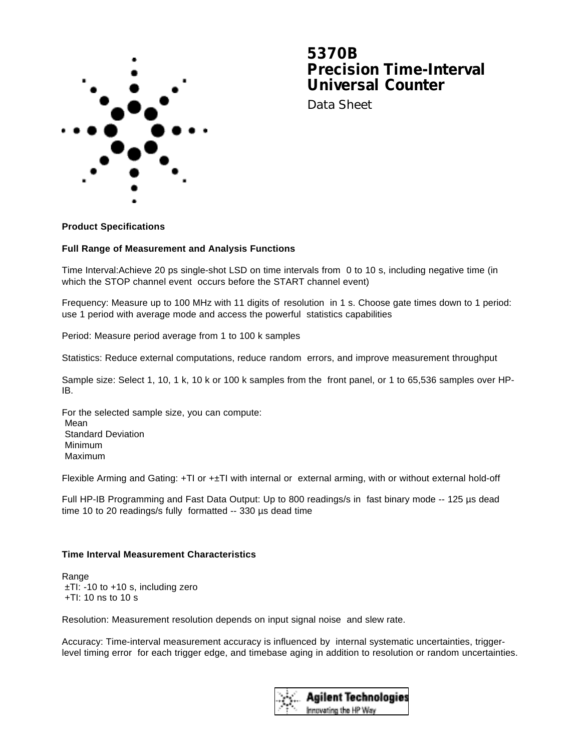

# **5370B Precision Time-Interval Universal Counter**

Data Sheet

## **Product Specifications**

#### **Full Range of Measurement and Analysis Functions**

Time Interval:Achieve 20 ps single-shot LSD on time intervals from 0 to 10 s, including negative time (in which the STOP channel event occurs before the START channel event)

Frequency: Measure up to 100 MHz with 11 digits of resolution in 1 s. Choose gate times down to 1 period: use 1 period with average mode and access the powerful statistics capabilities

Period: Measure period average from 1 to 100 k samples

Statistics: Reduce external computations, reduce random errors, and improve measurement throughput

Sample size: Select 1, 10, 1 k, 10 k or 100 k samples from the front panel, or 1 to 65,536 samples over HP-IB.

For the selected sample size, you can compute: Mean Standard Deviation Minimum Maximum

Flexible Arming and Gating:  $+T$ I or  $+T$ I with internal or external arming, with or without external hold-off

Full HP-IB Programming and Fast Data Output: Up to 800 readings/s in fast binary mode -- 125 µs dead time 10 to 20 readings/s fully formatted -- 330 µs dead time

## **Time Interval Measurement Characteristics**

**Range**  ±TI: -10 to +10 s, including zero  $+T$ I: 10 ns to 10 s

Resolution: Measurement resolution depends on input signal noise and slew rate.

Accuracy: Time-interval measurement accuracy is influenced by internal systematic uncertainties, triggerlevel timing error for each trigger edge, and timebase aging in addition to resolution or random uncertainties.